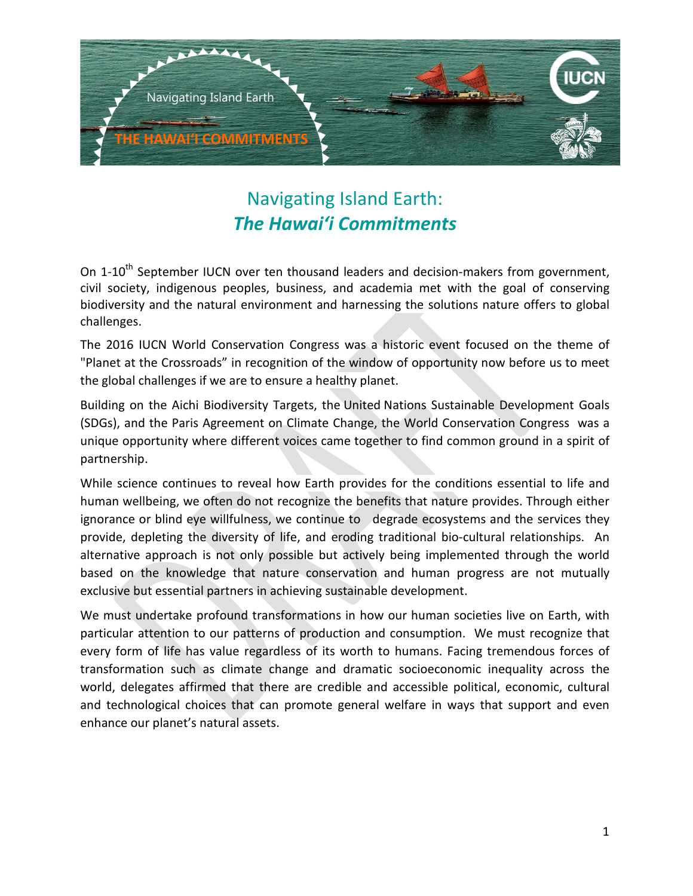

# Navigating Island Earth: *The Hawaiʻi Commitments*

On 1-10<sup>th</sup> September IUCN over ten thousand leaders and decision-makers from government, civil society, indigenous peoples, business, and academia met with the goal of conserving biodiversity and the natural environment and harnessing the solutions nature offers to global challenges.

The 2016 IUCN World Conservation Congress was a historic event focused on the theme of "Planet at the Crossroads" in recognition of the window of opportunity now before us to meet the global challenges if we are to ensure a healthy planet.

Building on the Aichi Biodiversity Targets, the United Nations Sustainable Development Goals (SDGs), and the Paris Agreement on Climate Change, the World Conservation Congress was a unique opportunity where different voices came together to find common ground in a spirit of partnership.

While science continues to reveal how Earth provides for the conditions essential to life and human wellbeing, we often do not recognize the benefits that nature provides. Through either ignorance or blind eye willfulness, we continue to degrade ecosystems and the services they provide, depleting the diversity of life, and eroding traditional bio-cultural relationships. An alternative approach is not only possible but actively being implemented through the world based on the knowledge that nature conservation and human progress are not mutually exclusive but essential partners in achieving sustainable development.

We must undertake profound transformations in how our human societies live on Earth, with particular attention to our patterns of production and consumption. We must recognize that every form of life has value regardless of its worth to humans. Facing tremendous forces of transformation such as climate change and dramatic socioeconomic inequality across the world, delegates affirmed that there are credible and accessible political, economic, cultural and technological choices that can promote general welfare in ways that support and even enhance our planet's natural assets.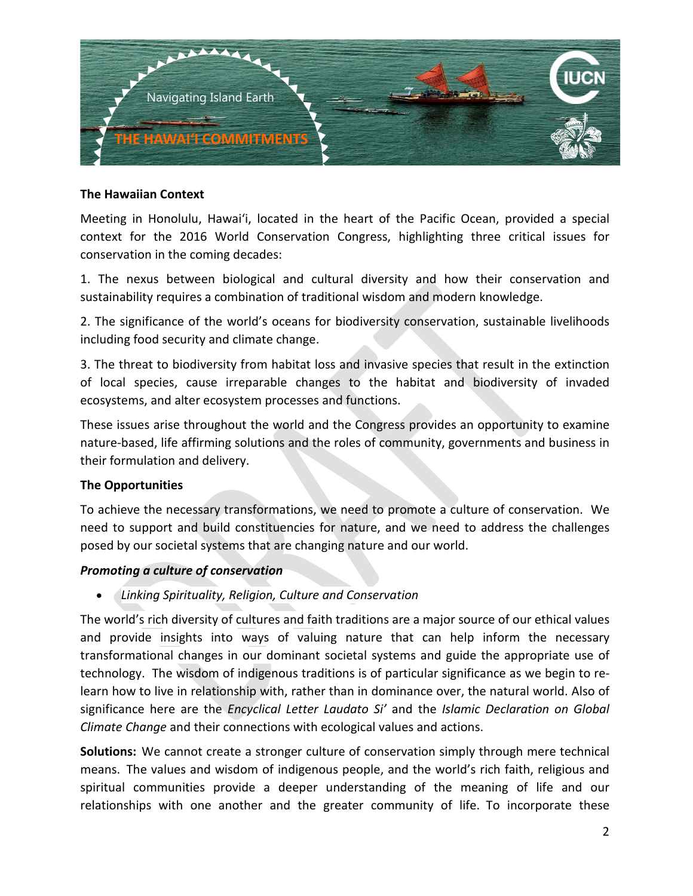

#### **The Hawaiian Context**

Meeting in Honolulu, Hawaiʻi, located in the heart of the Pacific Ocean, provided a special context for the 2016 World Conservation Congress, highlighting three critical issues for conservation in the coming decades:

1. The nexus between biological and cultural diversity and how their conservation and sustainability requires a combination of traditional wisdom and modern knowledge.

2. The significance of the world's oceans for biodiversity conservation, sustainable livelihoods including food security and climate change.

3. The threat to biodiversity from habitat loss and invasive species that result in the extinction of local species, cause irreparable changes to the habitat and biodiversity of invaded ecosystems, and alter ecosystem processes and functions.

These issues arise throughout the world and the Congress provides an opportunity to examine nature-based, life affirming solutions and the roles of community, governments and business in their formulation and delivery.

#### **The Opportunities**

To achieve the necessary transformations, we need to promote a culture of conservation. We need to support and build constituencies for nature, and we need to address the challenges posed by our societal systems that are changing nature and our world.

#### *Promoting a culture of conservation*

• *Linking Spirituality, Religion, Culture and Conservation*

The world's rich diversity of cultures and faith traditions are a major source of our ethical values and provide insights into ways of valuing nature that can help inform the necessary transformational changes in our dominant societal systems and guide the appropriate use of technology. The wisdom of indigenous traditions is of particular significance as we begin to relearn how to live in relationship with, rather than in dominance over, the natural world. Also of significance here are the *Encyclical Letter Laudato Si'* and the *Islamic Declaration on Global Climate Change* and their connections with ecological values and actions.

**Solutions:** We cannot create a stronger culture of conservation simply through mere technical means. The values and wisdom of indigenous people, and the world's rich faith, religious and spiritual communities provide a deeper understanding of the meaning of life and our relationships with one another and the greater community of life. To incorporate these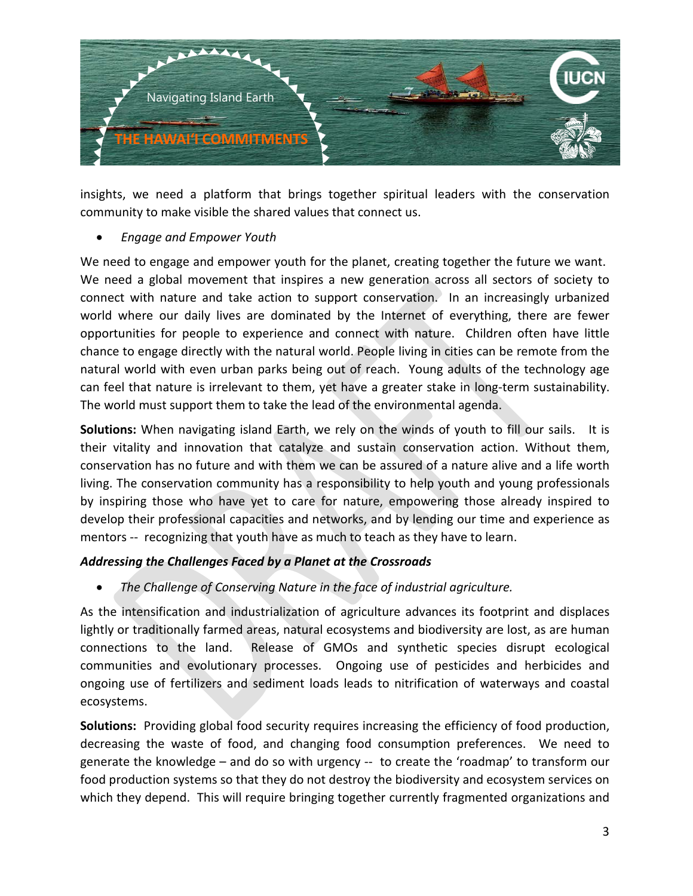

insights, we need a platform that brings together spiritual leaders with the conservation community to make visible the shared values that connect us.

• *Engage and Empower Youth*

We need to engage and empower youth for the planet, creating together the future we want. We need a global movement that inspires a new generation across all sectors of society to connect with nature and take action to support conservation. In an increasingly urbanized world where our daily lives are dominated by the Internet of everything, there are fewer opportunities for people to experience and connect with nature. Children often have little chance to engage directly with the natural world. People living in cities can be remote from the natural world with even urban parks being out of reach. Young adults of the technology age can feel that nature is irrelevant to them, yet have a greater stake in long-term sustainability. The world must support them to take the lead of the environmental agenda.

**Solutions:** When navigating island Earth, we rely on the winds of youth to fill our sails. It is their vitality and innovation that catalyze and sustain conservation action. Without them, conservation has no future and with them we can be assured of a nature alive and a life worth living. The conservation community has a responsibility to help youth and young professionals by inspiring those who have yet to care for nature, empowering those already inspired to develop their professional capacities and networks, and by lending our time and experience as mentors -- recognizing that youth have as much to teach as they have to learn.

## *Addressing the Challenges Faced by a Planet at the Crossroads*

• *The Challenge of Conserving Nature in the face of industrial agriculture.*

As the intensification and industrialization of agriculture advances its footprint and displaces lightly or traditionally farmed areas, natural ecosystems and biodiversity are lost, as are human connections to the land. Release of GMOs and synthetic species disrupt ecological communities and evolutionary processes. Ongoing use of pesticides and herbicides and ongoing use of fertilizers and sediment loads leads to nitrification of waterways and coastal ecosystems.

**Solutions:** Providing global food security requires increasing the efficiency of food production, decreasing the waste of food, and changing food consumption preferences. We need to generate the knowledge – and do so with urgency -- to create the 'roadmap' to transform our food production systems so that they do not destroy the biodiversity and ecosystem services on which they depend. This will require bringing together currently fragmented organizations and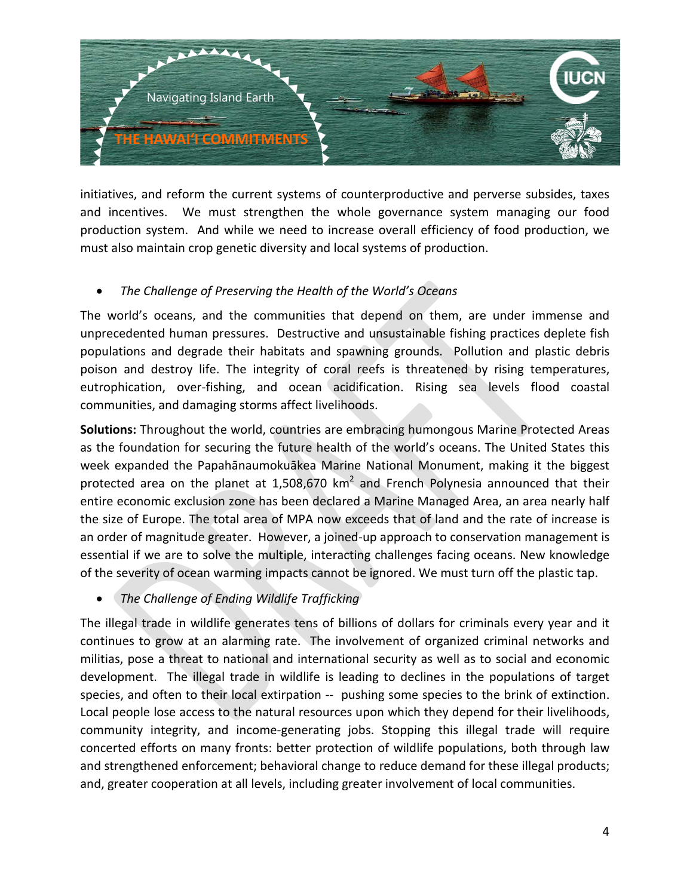

initiatives, and reform the current systems of counterproductive and perverse subsides, taxes and incentives. We must strengthen the whole governance system managing our food production system. And while we need to increase overall efficiency of food production, we must also maintain crop genetic diversity and local systems of production.

### • *The Challenge of Preserving the Health of the World's Oceans*

The world's oceans, and the communities that depend on them, are under immense and unprecedented human pressures. Destructive and unsustainable fishing practices deplete fish populations and degrade their habitats and spawning grounds. Pollution and plastic debris poison and destroy life. The integrity of coral reefs is threatened by rising temperatures, eutrophication, over-fishing, and ocean acidification. Rising sea levels flood coastal communities, and damaging storms affect livelihoods.

**Solutions:** Throughout the world, countries are embracing humongous Marine Protected Areas as the foundation for securing the future health of the world's oceans. The United States this week expanded the Papahānaumokuākea Marine National Monument, making it the biggest protected area on the planet at 1,508,670  $km^2$  and French Polynesia announced that their entire economic exclusion zone has been declared a Marine Managed Area, an area nearly half the size of Europe. The total area of MPA now exceeds that of land and the rate of increase is an order of magnitude greater. However, a joined-up approach to conservation management is essential if we are to solve the multiple, interacting challenges facing oceans. New knowledge of the severity of ocean warming impacts cannot be ignored. We must turn off the plastic tap.

• *The Challenge of Ending Wildlife Trafficking*

The illegal trade in wildlife generates tens of billions of dollars for criminals every year and it continues to grow at an alarming rate. The involvement of organized criminal networks and militias, pose a threat to national and international security as well as to social and economic development. The illegal trade in wildlife is leading to declines in the populations of target species, and often to their local extirpation -- pushing some species to the brink of extinction. Local people lose access to the natural resources upon which they depend for their livelihoods, community integrity, and income-generating jobs. Stopping this illegal trade will require concerted efforts on many fronts: better protection of wildlife populations, both through law and strengthened enforcement; behavioral change to reduce demand for these illegal products; and, greater cooperation at all levels, including greater involvement of local communities.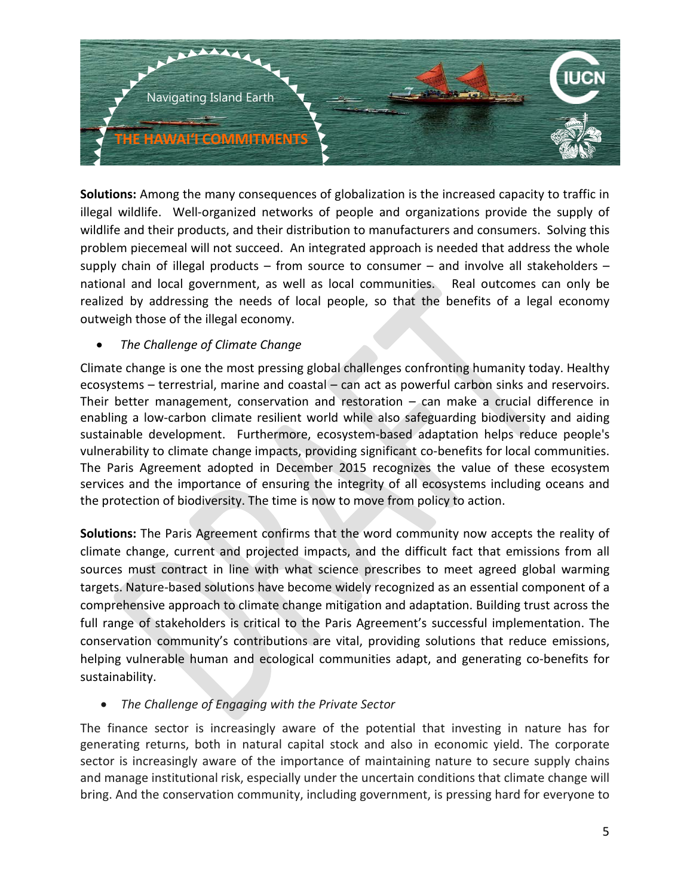

**Solutions:** Among the many consequences of globalization is the increased capacity to traffic in illegal wildlife. Well-organized networks of people and organizations provide the supply of wildlife and their products, and their distribution to manufacturers and consumers. Solving this problem piecemeal will not succeed. An integrated approach is needed that address the whole supply chain of illegal products – from source to consumer – and involve all stakeholders – national and local government, as well as local communities. Real outcomes can only be realized by addressing the needs of local people, so that the benefits of a legal economy outweigh those of the illegal economy.

### • *The Challenge of Climate Change*

Climate change is one the most pressing global challenges confronting humanity today. Healthy ecosystems – terrestrial, marine and coastal – can act as powerful carbon sinks and reservoirs. Their better management, conservation and restoration – can make a crucial difference in enabling a low-carbon climate resilient world while also safeguarding biodiversity and aiding sustainable development. Furthermore, ecosystem-based adaptation helps reduce people's vulnerability to climate change impacts, providing significant co-benefits for local communities. The Paris Agreement adopted in December 2015 recognizes the value of these ecosystem services and the importance of ensuring the integrity of all ecosystems including oceans and the protection of biodiversity. The time is now to move from policy to action.

**Solutions:** The Paris Agreement confirms that the word community now accepts the reality of climate change, current and projected impacts, and the difficult fact that emissions from all sources must contract in line with what science prescribes to meet agreed global warming targets. Nature-based solutions have become widely recognized as an essential component of a comprehensive approach to climate change mitigation and adaptation. Building trust across the full range of stakeholders is critical to the Paris Agreement's successful implementation. The conservation community's contributions are vital, providing solutions that reduce emissions, helping vulnerable human and ecological communities adapt, and generating co-benefits for sustainability.

• *The Challenge of Engaging with the Private Sector*

The finance sector is increasingly aware of the potential that investing in nature has for generating returns, both in natural capital stock and also in economic yield. The corporate sector is increasingly aware of the importance of maintaining nature to secure supply chains and manage institutional risk, especially under the uncertain conditions that climate change will bring. And the conservation community, including government, is pressing hard for everyone to